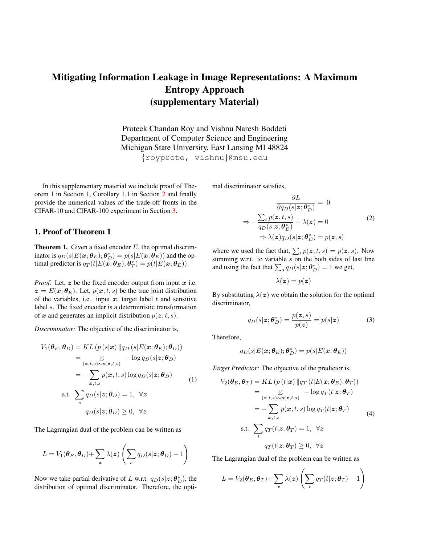# Mitigating Information Leakage in Image Representations: A Maximum Entropy Approach (supplementary Material)

Proteek Chandan Roy and Vishnu Naresh Boddeti Department of Computer Science and Engineering Michigan State University, East Lansing MI 48824 {royprote, vishnu}@msu.edu

In this supplementary material we include proof of Theorem 1 in Section [1,](#page-0-0) Corollary 1.1 in Section [2](#page-1-0) and finally provide the numerical values of the trade-off fronts in the CIFAR-10 and CIFAR-100 experiment in Section [3.](#page-1-1)

### <span id="page-0-0"></span>1. Proof of Theorem 1

<span id="page-0-1"></span>**Theorem 1.** Given a fixed encoder  $E$ , the optimal discriminator is  $q_D(s|E(\bm{x}; \bm{\theta}_E); \bm{\theta}^*_D) = p(s|E(\bm{x}; \bm{\theta}_E))$  and the optimal predictor is  $q_T(t|E(\vec{\boldsymbol{x}};\boldsymbol{\theta}_E);\boldsymbol{\theta}_T^*) = p(t|E(\boldsymbol{x};\boldsymbol{\theta}_E)).$ 

*Proof.* Let,  $z$  be the fixed encoder output from input  $x$  i.e.  $z = E(x; \theta_E)$ . Let,  $p(x, t, s)$  be the true joint distribution of the variables, i.e. input  $x$ , target label  $t$  and sensitive label s. The fixed encoder is a deterministic transformation of x and generates an implicit distribution  $p(z, t, s)$ .

*Discriminator:* The objective of the discriminator is,

$$
V_1(\theta_E, \theta_D) = KL(p(s|x) \| q_D(s|E(x; \theta_E); \theta_D))
$$
  
\n
$$
= \mathop{\mathbb{E}}_{(z,t,s) \sim p(z,t,s)} - \log q_D(s|z; \theta_D)
$$
  
\n
$$
= -\sum_{x,t,s} p(x,t,s) \log q_D(s|z; \theta_D)
$$
  
\n
$$
\text{s.t. } \sum_s q_D(s|z; \theta_D) = 1, \ \forall z
$$
  
\n
$$
q_D(s|z; \theta_D) \ge 0, \ \forall z
$$

The Lagrangian dual of the problem can be written as

$$
L = V_1(\boldsymbol{\theta}_E, \boldsymbol{\theta}_D) + \sum_{\boldsymbol{z}} \lambda(\boldsymbol{z}) \left( \sum_s q_D(s|\boldsymbol{z}; \boldsymbol{\theta}_D) - 1 \right)
$$

Now we take partial derivative of L w.r.t.  $q_D(s|z; \theta_D^*)$ , the distribution of optimal discriminator. Therefore, the optimal discriminator satisfies,

$$
\frac{\partial L}{\partial q_D(s|z;\theta_D^*)} = 0
$$

$$
\Rightarrow -\frac{\sum_t p(z,t,s)}{q_D(s|z;\theta_D^*)} + \lambda(z) = 0
$$
(2)
$$
\Rightarrow \lambda(z)q_D(s|z;\theta_D^*) = p(z,s)
$$

where we used the fact that,  $\sum_t p(z, t, s) = p(z, s)$ . Now summing w.r.t. to variable  $s$  on the both sides of last line and using the fact that  $\sum_s q_D(s|z;\theta_D^*) = 1$  we get,

$$
\lambda(\boldsymbol{z}) = p(\boldsymbol{z})
$$

By substituting  $\lambda(z)$  we obtain the solution for the optimal discriminator,

$$
q_D(s|z; \boldsymbol{\theta}_D^*) = \frac{p(z, s)}{p(z)} = p(s|z)
$$
 (3)

Therefore,

$$
q_D(s|E(\pmb x;\pmb\theta_E);\pmb\theta_D^*)=p(s|E(\pmb x;\pmb\theta_E))
$$

*Target Predictor:* The objective of the predictor is,

$$
V_2(\theta_E, \theta_T) = KL (p (t|x) || q_T (t|E(x; \theta_E); \theta_T))
$$
  
\n
$$
= \mathbb{E} - \log q_T(t|z; \theta_T)
$$
  
\n
$$
= -\sum_{x, t, s} p(x, t, s) \log q_T(t|z; \theta_T)
$$
  
\n
$$
s.t. \sum_t q_T(t|z; \theta_T) = 1, \forall z
$$
  
\n
$$
q_T(t|z; \theta_T) \ge 0, \forall z
$$

The Lagrangian dual of the problem can be written as

$$
L = V_2(\boldsymbol{\theta}_E, \boldsymbol{\theta}_T) + \sum_{\boldsymbol{z}} \lambda(\boldsymbol{z}) \left( \sum_t q_T(t|\boldsymbol{z}; \boldsymbol{\theta}_T) - 1 \right)
$$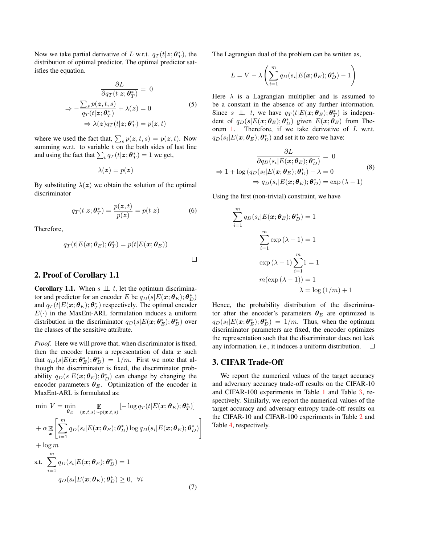Now we take partial derivative of L w.r.t.  $q_T(t|z; \theta_T^*)$ , the distribution of optimal predictor. The optimal predictor satisfies the equation.

$$
\frac{\partial L}{\partial q_T(t|\mathbf{z}; \boldsymbol{\theta}_T^*)} = 0
$$

$$
\Rightarrow -\frac{\sum_s p(\mathbf{z}, t, s)}{q_T(t|\mathbf{z}; \boldsymbol{\theta}_T^*)} + \lambda(\mathbf{z}) = 0
$$
(5)
$$
\Rightarrow \lambda(\mathbf{z}) q_T(t|\mathbf{z}; \boldsymbol{\theta}_T^*) = p(\mathbf{z}, t)
$$

where we used the fact that,  $\sum_s p(\mathbf{z}, t, s) = p(\mathbf{z}, t)$ . Now summing w.r.t. to variable  $t$  on the both sides of last line and using the fact that  $\sum_t q_T(t|\mathbf{z}; \boldsymbol{\theta}_T^*) = 1$  we get,

$$
\lambda(\boldsymbol{z}) = p(\boldsymbol{z})
$$

By substituting  $\lambda(z)$  we obtain the solution of the optimal discriminator

$$
q_T(t|\mathbf{z}; \boldsymbol{\theta}_T^*) = \frac{p(\mathbf{z}, t)}{p(\mathbf{z})} = p(t|\mathbf{z}) \tag{6}
$$

Therefore,

$$
q_T(t|E(\boldsymbol{x}; \boldsymbol{\theta}_E); \boldsymbol{\theta}_T^*) = p(t|E(\boldsymbol{x}; \boldsymbol{\theta}_E))
$$

## <span id="page-1-0"></span>2. Proof of Corollary 1.1

**Corollary 1.1.** When  $s \perp t$ , let the optimum discriminator and predictor for an encoder E be  $q_D(s|E(\mathbf{x}; \boldsymbol{\theta}_E); \boldsymbol{\theta}_D^*)$ and  $q_T(t|E(\boldsymbol{x};\boldsymbol{\theta}_E);\boldsymbol{\theta}_T^*)$  respectively. The optimal encoder  $E(\cdot)$  in the MaxEnt-ARL formulation induces a uniform distribution in the discriminator  $q_D(s|E(\mathbf{x};\boldsymbol{\theta}_E^*); \boldsymbol{\theta}_D^*)$  over the classes of the sensitive attribute.

*Proof.* Here we will prove that, when discriminator is fixed, then the encoder learns a representation of data  $x$  such that  $q_D(s|E(\mathbf{x}; \theta_E^*); \theta_D^*) = 1/m$ . First we note that although the discriminator is fixed, the discriminator probability  $q_D(s|E(\bm{x}; \bm{\theta}_E); \bm{\theta}_D^*)$  can change by changing the encoder parameters  $\theta_E$ . Optimization of the encoder in MaxEnt-ARL is formulated as:

$$
\min V = \min_{\theta_E} V_{(\mathbf{x},t,s) \sim p(\mathbf{x},t,s)} [-\log q_T(t|E(\mathbf{x};\theta_E); \theta_T^*)]
$$
\n
$$
+ \alpha \mathbb{E}_{\mathbf{x}} \left[ \sum_{i=1}^m q_D(s_i|E(\mathbf{x};\theta_E); \theta_D^*) \log q_D(s_i|E(\mathbf{x};\theta_E); \theta_D^*) \right]
$$
\n
$$
+ \log m
$$
\ns.t. 
$$
\sum_{i=1}^m q_D(s_i|E(\mathbf{x};\theta_E); \theta_D^*) = 1
$$
\n
$$
q_D(s_i|E(\mathbf{x};\theta_E); \theta_D^*) \ge 0, \forall i
$$

The Lagrangian dual of the problem can be written as,

$$
L = V - \lambda \left( \sum_{i=1}^{m} q_D(s_i | E(\boldsymbol{x}; \boldsymbol{\theta}_E); \boldsymbol{\theta}_D^*) - 1 \right)
$$

Here  $\lambda$  is a Lagrangian multiplier and is assumed to be a constant in the absence of any further information. Since  $s \perp \!\!\! \perp t$ , we have  $q_T(t|E(\mathbf{x}; \theta_E); \theta_T^*)$  is independent of  $q_D(s|E(\bm{x};\bm{\theta}_E);\bm{\theta}^*_D)$  given  $E(\bm{x};\tilde{\bm{\theta}}_E)$  from The-orem [1.](#page-0-1) Therefore, if we take derivative of  $L$  w.r.t.  $q_D(s_i|E(\bm{x}; \bm{\theta}_E); \bm{\theta}_D^*)$  and set it to zero we have:

$$
\frac{\partial L}{\partial q_D(s_i|E(\boldsymbol{x};\boldsymbol{\theta}_E); \boldsymbol{\theta}_D^*)} = 0
$$
\n
$$
\Rightarrow 1 + \log(q_D(s_i|E(\boldsymbol{x};\boldsymbol{\theta}_E); \boldsymbol{\theta}_D^*) - \lambda = 0
$$
\n
$$
\Rightarrow q_D(s_i|E(\boldsymbol{x};\boldsymbol{\theta}_E); \boldsymbol{\theta}_D^*) = \exp(\lambda - 1)
$$
\n(8)

Using the first (non-trivial) constraint, we have

$$
\sum_{i=1}^{m} q_D(s_i | E(\boldsymbol{x}; \boldsymbol{\theta}_E); \boldsymbol{\theta}_D^*) = 1
$$

$$
\sum_{i=1}^{m} \exp(\lambda - 1) = 1
$$

$$
\exp(\lambda - 1) \sum_{i=1}^{m} 1 = 1
$$

$$
m(\exp(\lambda - 1)) = 1
$$

$$
\lambda = \log(1/m) + 1
$$

Hence, the probability distribution of the discriminator after the encoder's parameters  $\theta_E$  are optimized is  $q_D(s_i|E(\boldsymbol{x};\boldsymbol{\theta}_E^*); \boldsymbol{\theta}_D^*) = 1/m$ . Thus, when the optimum discriminator parameters are fixed, the encoder optimizes the representation such that the discriminator does not leak any information, i.e., it induces a uniform distribution.  $\Box$ 

### <span id="page-1-1"></span>3. CIFAR Trade-Off

We report the numerical values of the target accuracy and adversary accuracy trade-off results on the CIFAR-10 and CIFAR-100 experiments in Table [1](#page-2-0) and Table [3,](#page-2-1) respectively. Similarly, we report the numerical values of the target accuracy and adversary entropy trade-off results on the CIFAR-10 and CIFAR-100 experiments in Table [2](#page-2-2) and Table [4,](#page-2-3) respectively.

 $\Box$